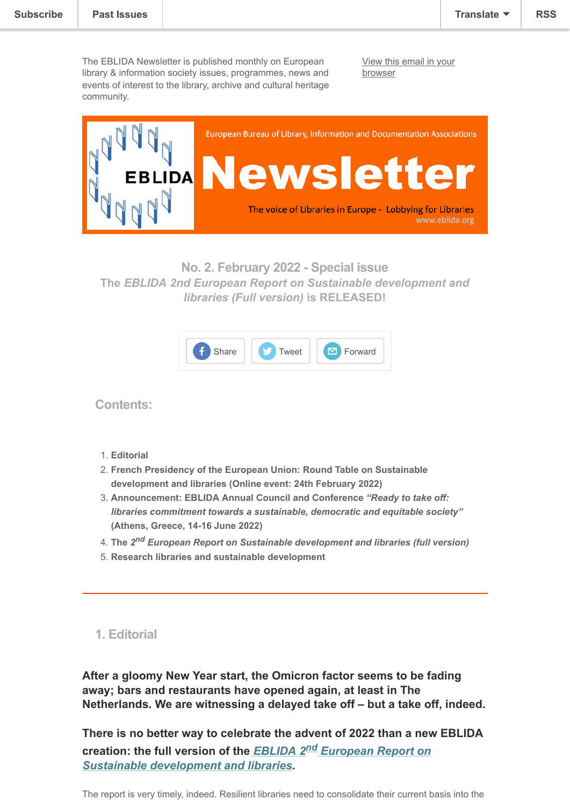The EBLIDA Newsletter is published monthly on European library & information society issues, programmes, news and events of interest to the library, archive and cultural heritage community.

[View this email in your](https://mailchi.mp/9f9fed296552/eblida-newsletter-5073382?e=[UNIQID]) browser



**No. 2. February 2022 - Special issue The** *EBLIDA 2nd European Report on Sustainable development and libraries (Full version)* **is RELEASED!**



**Contents:**

- 1. **Editorial**
- 2. **French Presidency of the European Union: Round Table on Sustainable development and libraries (Online event: 24th February 2022)**
- 3. **Announcement: EBLIDA Annual Council and Conference** *"Ready to take off: libraries commitment towards a sustainable, democratic and equitable society"* **(Athens, Greece, 14-16 June 2022)**
- 4. **The** *2 nd European Report on Sustainable development and libraries (full version)*
- 5. **Research libraries and sustainable development**
- **1. Editorial**

**After a gloomy New Year start, the Omicron factor seems to be fading away; bars and restaurants have opened again, at least in The Netherlands. We are witnessing a delayed take off – but a take off, indeed.**

**There is no better way to celebrate the advent of 2022 than a new EBLIDA creation: the full version of the** *EBLIDA 2nd European Report on [Sustainable development and libraries.](http://www.eblida.org/Documents/Second-European-Report-on-SDGs-in-Libraries_Full-Report2022.pdf)*

The report is very timely, indeed. Resilient libraries need to consolidate their current basis into the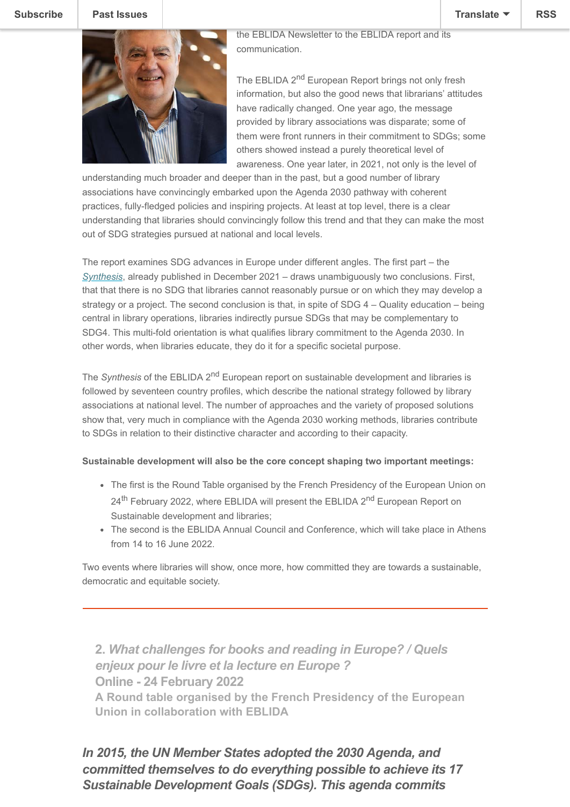

communication.

wider framework of sustainable development. For this team

The EBLIDA 2<sup>nd</sup> European Report brings not only fresh information, but also the good news that librarians' attitudes have radically changed. One year ago, the message provided by library associations was disparate; some of them were front runners in their commitment to SDGs; some others showed instead a purely theoretical level of awareness. One year later, in 2021, not only is the level of

understanding much broader and deeper than in the past, but a good number of library associations have convincingly embarked upon the Agenda 2030 pathway with coherent practices, fully-fledged policies and inspiring projects. At least at top level, there is a clear understanding that libraries should convincingly follow this trend and that they can make the most out of SDG strategies pursued at national and local levels.

The report examines SDG advances in Europe under different angles. The first part – the *[Synthesis](http://www.eblida.org/News/2021/Second-European-Report-on-SDGs-in-Libraries_Synthesis.pdf)*, already published in December 2021 – draws unambiguously two conclusions. First, that that there is no SDG that libraries cannot reasonably pursue or on which they may develop a strategy or a project. The second conclusion is that, in spite of SDG 4 – Quality education – being central in library operations, libraries indirectly pursue SDGs that may be complementary to SDG4. This multi-fold orientation is what qualifies library commitment to the Agenda 2030. In other words, when libraries educate, they do it for a specific societal purpose.

The *Synthesis* of the EBLIDA 2<sup>nd</sup> European report on sustainable development and libraries is followed by seventeen country profiles, which describe the national strategy followed by library associations at national level. The number of approaches and the variety of proposed solutions show that, very much in compliance with the Agenda 2030 working methods, libraries contribute to SDGs in relation to their distinctive character and according to their capacity.

## **Sustainable development will also be the core concept shaping two important meetings:**

- The first is the Round Table organised by the French Presidency of the European Union on 24<sup>th</sup> February 2022, where EBLIDA will present the EBLIDA 2<sup>nd</sup> European Report on Sustainable development and libraries;
- The second is the EBLIDA Annual Council and Conference, which will take place in Athens from 14 to 16 June 2022.

Two events where libraries will show, once more, how committed they are towards a sustainable, democratic and equitable society.

**2.** *What challenges for books and reading in Europe? / Quels enjeux pour le livre et la lecture en Europe ?* **Online - 24 February 2022 A Round table organised by the French Presidency of the European Union in collaboration with EBLIDA**

*In 2015, the UN Member States adopted the 2030 Agenda, and committed themselves to do everything possible to achieve its 17 Sustainable Development Goals (SDGs). This agenda commits*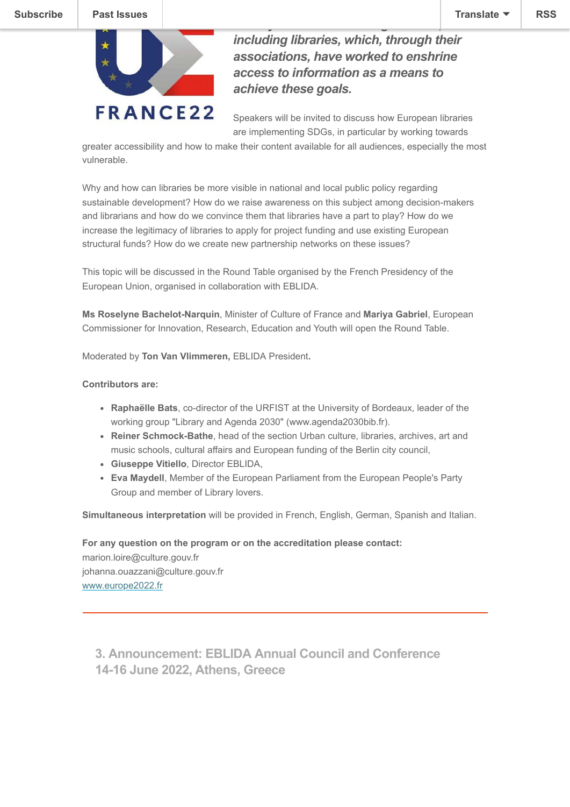

*including libraries, which, through their associations, have worked to enshrine access to information as a means to achieve these goals.*

*society involved in the negotiations,*

Speakers will be invited to discuss how European libraries are implementing SDGs, in particular by working towards

greater accessibility and how to make their content available for all audiences, especially the most vulnerable.

Why and how can libraries be more visible in national and local public policy regarding sustainable development? How do we raise awareness on this subject among decision-makers and librarians and how do we convince them that libraries have a part to play? How do we increase the legitimacy of libraries to apply for project funding and use existing European structural funds? How do we create new partnership networks on these issues?

This topic will be discussed in the Round Table organised by the French Presidency of the European Union, organised in collaboration with EBLIDA.

**Ms Roselyne Bachelot-Narquin**, Minister of Culture of France and **Mariya Gabriel**, European Commissioner for Innovation, Research, Education and Youth will open the Round Table.

Moderated by **Ton Van Vlimmeren,** EBLIDA President**.**

#### **Contributors are:**

- **Raphaëlle Bats**, co-director of the URFIST at the University of Bordeaux, leader of the working group "Library and Agenda 2030" (www.agenda2030bib.fr).
- **Reiner Schmock-Bathe**, head of the section Urban culture, libraries, archives, art and music schools, cultural affairs and European funding of the Berlin city council,
- **Giuseppe Vitiello**, Director EBLIDA,
- **Eva Maydell**, Member of the European Parliament from the European People's Party Group and member of Library lovers.

**Simultaneous interpretation** will be provided in French, English, German, Spanish and Italian.

**For any question on the program or on the accreditation please contact:** marion.loire@culture.gouv.fr johanna.ouazzani@culture.gouv.fr [www.europe2022.fr](https://presidence-francaise.consilium.europa.eu/)

**3. Announcement: EBLIDA Annual Council and Conference 14-16 June 2022, Athens, Greece**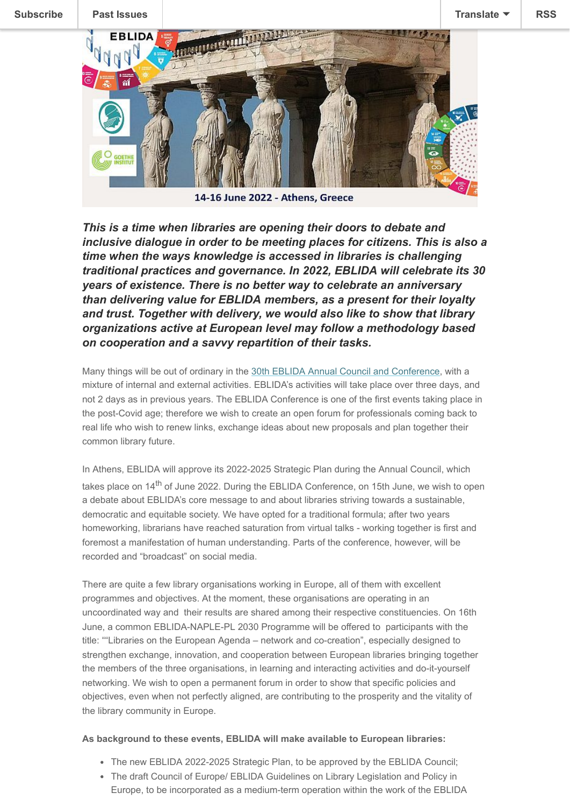

14-16 June 2022 - Athens, Greece

*This is a time when libraries are opening their doors to debate and inclusive dialogue in order to be meeting places for citizens. This is also a time when the ways knowledge is accessed in libraries is challenging traditional practices and governance. In 2022, EBLIDA will celebrate its 30 years of existence. There is no better way to celebrate an anniversary than delivering value for EBLIDA members, as a present for their loyalty and trust. Together with delivery, we would also like to show that library organizations active at European level may follow a methodology based on cooperation and a savvy repartition of their tasks.*

Many things will be out of ordinary in the [30th EBLIDA Annual Council and Conference](https://eblida2022.sciencesconf.org/), with a mixture of internal and external activities. EBLIDA's activities will take place over three days, and not 2 days as in previous years. The EBLIDA Conference is one of the first events taking place in the post-Covid age; therefore we wish to create an open forum for professionals coming back to real life who wish to renew links, exchange ideas about new proposals and plan together their common library future.

In Athens, EBLIDA will approve its 2022-2025 Strategic Plan during the Annual Council, which takes place on  $14<sup>th</sup>$  of June 2022. During the EBLIDA Conference, on 15th June, we wish to open a debate about EBLIDA's core message to and about libraries striving towards a sustainable, democratic and equitable society. We have opted for a traditional formula; after two years homeworking, librarians have reached saturation from virtual talks - working together is first and foremost a manifestation of human understanding. Parts of the conference, however, will be recorded and "broadcast" on social media.

There are quite a few library organisations working in Europe, all of them with excellent programmes and objectives. At the moment, these organisations are operating in an uncoordinated way and their results are shared among their respective constituencies. On 16th June, a common EBLIDA-NAPLE-PL 2030 Programme will be offered to participants with the title: ""Libraries on the European Agenda – network and co-creation", especially designed to strengthen exchange, innovation, and cooperation between European libraries bringing together the members of the three organisations, in learning and interacting activities and do-it-yourself networking. We wish to open a permanent forum in order to show that specific policies and objectives, even when not perfectly aligned, are contributing to the prosperity and the vitality of the library community in Europe.

## **As background to these events, EBLIDA will make available to European libraries:**

- The new EBLIDA 2022-2025 Strategic Plan, to be approved by the EBLIDA Council;
- The draft Council of Europe/ EBLIDA Guidelines on Library Legislation and Policy in Europe, to be incorporated as a medium-term operation within the work of the EBLIDA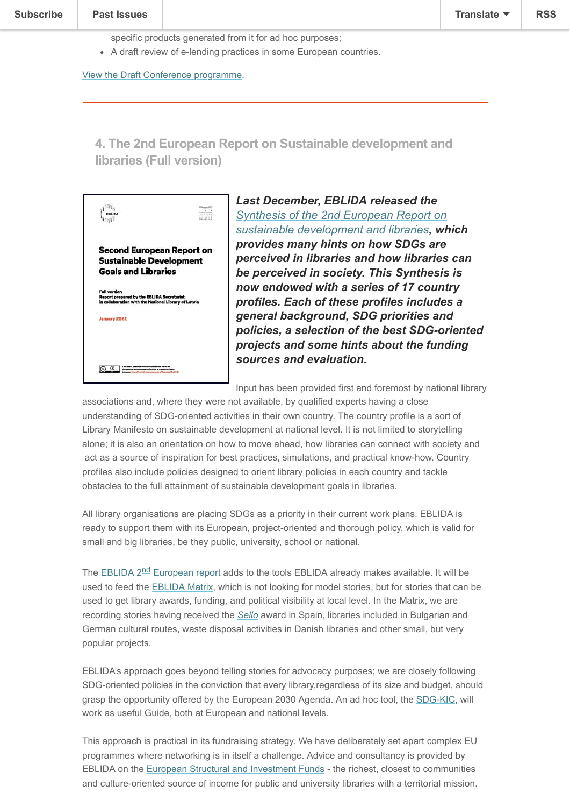#### **Past Issues**  $T$  . The EBLIDA 2nd European report on sustainable development and libraries to gether with  $T$

specific products generated from it for ad hoc purposes;

A draft review of e-lending practices in some European countries.

[View the Draft Conference programme.](https://eblida2022.sciencesconf.org/resource/page/id/1)

# **4. The 2nd European Report on Sustainable development and libraries (Full version)**

|                                                                                                                                 | 944189339<br><b><i>BIRLIGHTON</i></b> |
|---------------------------------------------------------------------------------------------------------------------------------|---------------------------------------|
| <b>Second European Report on</b><br><b>Sustainable Development</b><br><b>Goals and Libraries</b>                                |                                       |
| <b>Full version</b><br><b>Report prepared by the EBLIDA Secretariat</b><br>in collaboration with the National Library of Latvia |                                       |
| January 2022                                                                                                                    |                                       |
|                                                                                                                                 |                                       |

*Last December, EBLIDA released the [Synthesis of the 2nd European Report on](http://www.eblida.org/News/2021/Second-European-Report-on-SDGs-in-Libraries_Synthesis.pdf) sustainable development and libraries, which provides many hints on how SDGs are perceived in libraries and how libraries can be perceived in society. This Synthesis is now endowed with a series of 17 country profiles. Each of these profiles includes a general background, SDG priorities and policies, a selection of the best SDG-oriented projects and some hints about the funding sources and evaluation.*

Input has been provided first and foremost by national library

associations and, where they were not available, by qualified experts having a close understanding of SDG-oriented activities in their own country. The country profile is a sort of Library Manifesto on sustainable development at national level. It is not limited to storytelling alone; it is also an orientation on how to move ahead, how libraries can connect with society and act as a source of inspiration for best practices, simulations, and practical know-how. Country profiles also include policies designed to orient library policies in each country and tackle obstacles to the full attainment of sustainable development goals in libraries.

All library organisations are placing SDGs as a priority in their current work plans. EBLIDA is ready to support them with its European, project-oriented and thorough policy, which is valid for small and big libraries, be they public, university, school or national.

The EBLIDA 2<sup>nd</sup> [European report](http://www.eblida.org/Documents/Second-European-Report-on-SDGs-in-Libraries_Full-Report2022.pdf) adds to the tools EBLIDA already makes available. It will be used to feed the [EBLIDA Matrix,](http://www.eblida.org/activities/the-eblida-matrix.html) which is not looking for model stories, but for stories that can be used to get library awards, funding, and political visibility at local level. In the Matrix, we are recording stories having received the *[Sello](https://www.ccbiblio.es/mapa-sello-ccb)* award in Spain, libraries included in Bulgarian and German cultural routes, waste disposal activities in Danish libraries and other small, but very popular projects.

EBLIDA's approach goes beyond telling stories for advocacy purposes; we are closely following SDG-oriented policies in the conviction that every library,regardless of its size and budget, should grasp the opportunity offered by the European 2030 Agenda. An ad hoc tool, the [SDG-KIC,](http://www.eblida.org/activities/sdg-kic/) will work as useful Guide, both at European and national levels.

This approach is practical in its fundraising strategy. We have deliberately set apart complex EU programmes where networking is in itself a challenge. Advice and consultancy is provided by EBLIDA on the [European Structural and Investment Funds](https://ec.europa.eu/info/funding-tenders/funding-opportunities/funding-programmes/overview-funding-programmes/european-structural-and-investment-funds_en) - the richest, closest to communities and culture-oriented source of income for public and university libraries with a territorial mission.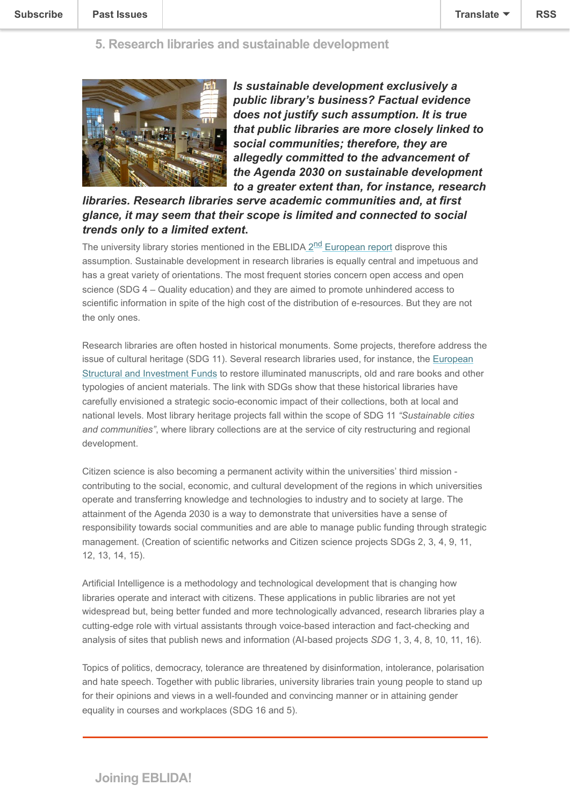

*Is sustainable development exclusively a public library's business? Factual evidence does not justify such assumption. It is true that public libraries are more closely linked to social communities; therefore, they are allegedly committed to the advancement of the Agenda 2030 on sustainable development to a greater extent than, for instance, research*

*libraries. Research libraries serve academic communities and, at first glance, it may seem that their scope is limited and connected to social trends only to a limited extent***.**

The university library stories mentioned in the EBLIDA  $2^{nd}$  [European report](http://www.eblida.org/Documents/Second-European-Report-on-SDGs-in-Libraries_Full-Report2022.pdf) disprove this assumption. Sustainable development in research libraries is equally central and impetuous and has a great variety of orientations. The most frequent stories concern open access and open science (SDG 4 – Quality education) and they are aimed to promote unhindered access to scientific information in spite of the high cost of the distribution of e-resources. But they are not the only ones.

Research libraries are often hosted in historical monuments. Some projects, therefore address the [issue of cultural heritage \(SDG 11\). Several research libraries used, for instance, the European](https://ec.europa.eu/info/funding-tenders/funding-opportunities/funding-programmes/overview-funding-programmes/european-structural-and-investment-funds_en) Structural and Investment Funds to restore illuminated manuscripts, old and rare books and other typologies of ancient materials. The link with SDGs show that these historical libraries have carefully envisioned a strategic socio-economic impact of their collections, both at local and national levels. Most library heritage projects fall within the scope of SDG 11 *"Sustainable cities and communities"*, where library collections are at the service of city restructuring and regional development.

Citizen science is also becoming a permanent activity within the universities' third mission contributing to the social, economic, and cultural development of the regions in which universities operate and transferring knowledge and technologies to industry and to society at large. The attainment of the Agenda 2030 is a way to demonstrate that universities have a sense of responsibility towards social communities and are able to manage public funding through strategic management. (Creation of scientific networks and Citizen science projects SDGs 2, 3, 4, 9, 11, 12, 13, 14, 15).

Artificial Intelligence is a methodology and technological development that is changing how libraries operate and interact with citizens. These applications in public libraries are not yet widespread but, being better funded and more technologically advanced, research libraries play a cutting-edge role with virtual assistants through voice-based interaction and fact-checking and analysis of sites that publish news and information (AI-based projects *SDG* 1, 3, 4, 8, 10, 11, 16).

Topics of politics, democracy, tolerance are threatened by disinformation, intolerance, polarisation and hate speech. Together with public libraries, university libraries train young people to stand up for their opinions and views in a well-founded and convincing manner or in attaining gender equality in courses and workplaces (SDG 16 and 5).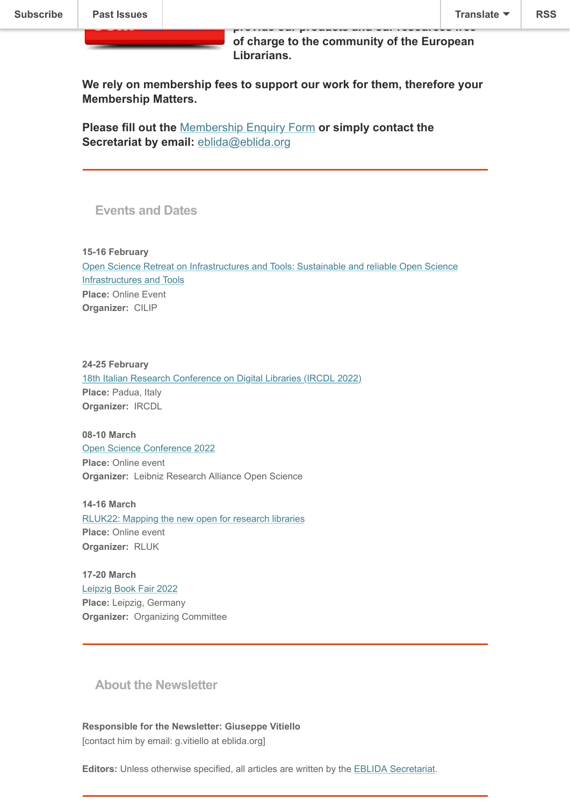**of charge to the community of the European Librarians.**

**We rely on membership fees to support our work for them, therefore your Membership Matters.**

**Please fill out the** [Membership Enquiry Form](http://www.eblida.org/membership/membership-enquiry-form.html) **or simply contact the Secretariat by email: [eblida@eblida.org](mailto:eblida@eblida.org)** 

**Events and Dates**

**15-16 February**  [Open Science Retreat on Infrastructures and Tools: Sustainable and reliable Open Science](http://www.eblida.org/freeze-url/open-science-retreat-on-infrastructures-and-tools.html) Infrastructures and Tools **Place:** Online Event **Organizer:** CILIP

**24-25 February** [18th Italian Research Conference on Digital Libraries \(IRCDL 2022\)](http://www.eblida.org/freeze-url/ircdl-2022.html) **Place:** Padua, Italy **Organizer:** IRCDL

**08-10 March**  [Open Science Conference 2022](http://www.eblida.org/freeze-url/open-science-conference-2022.html) **Place:** Online event **Organizer:** Leibniz Research Alliance Open Science

**14-16 March**  [RLUK22: Mapping the new open for research libraries](http://www.eblida.org/freeze-url/rluk22.html) **Place:** Online event **Organizer:** RLUK

**17-20 March**  [Leipzig Book Fair 2022](http://www.eblida.org/freeze-url/leipzig-book-fair-2022.html) **Place:** Leipzig, Germany **Organizer:** Organizing Committee

**About the Newsletter**

**Responsible for the Newsletter: Giuseppe Vitiello** [contact him by email: g.vitiello at eblida.org]

**Editors:** Unless otherwise specified, all articles are written by the [EBLIDA Secretariat.](http://www.eblida.org/contact.html)